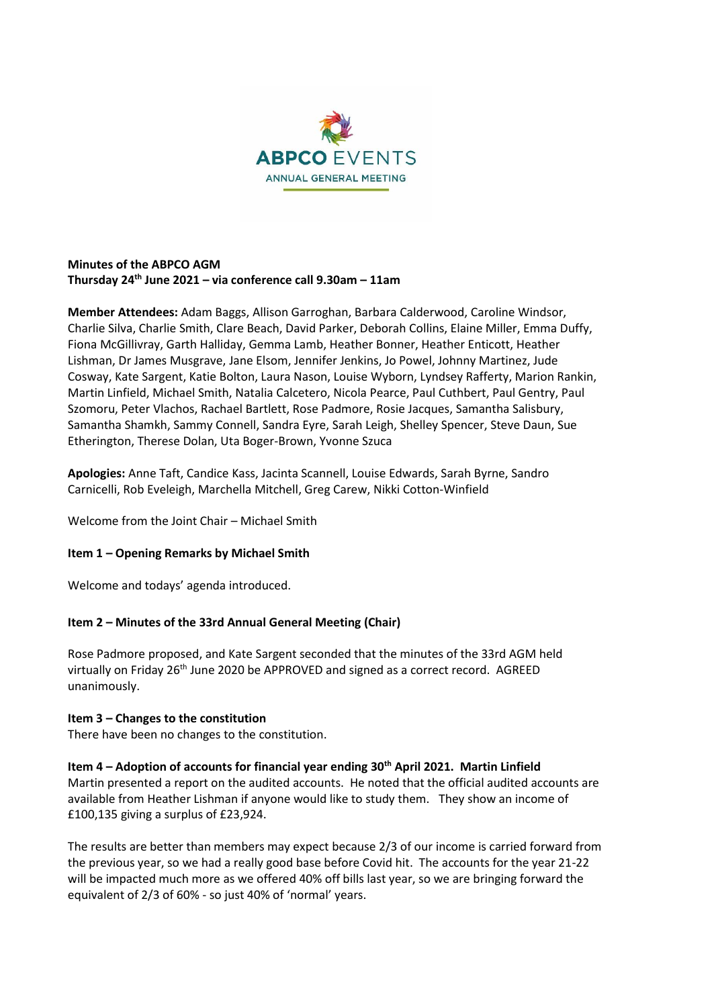

## **Minutes of the ABPCO AGM Thursday 24th June 2021 – via conference call 9.30am – 11am**

**Member Attendees:** Adam Baggs, Allison Garroghan, Barbara Calderwood, Caroline Windsor, Charlie Silva, Charlie Smith, Clare Beach, David Parker, Deborah Collins, Elaine Miller, Emma Duffy, Fiona McGillivray, Garth Halliday, Gemma Lamb, Heather Bonner, Heather Enticott, Heather Lishman, Dr James Musgrave, Jane Elsom, Jennifer Jenkins, Jo Powel, Johnny Martinez, Jude Cosway, Kate Sargent, Katie Bolton, Laura Nason, Louise Wyborn, Lyndsey Rafferty, Marion Rankin, Martin Linfield, Michael Smith, Natalia Calcetero, Nicola Pearce, Paul Cuthbert, Paul Gentry, Paul Szomoru, Peter Vlachos, Rachael Bartlett, Rose Padmore, Rosie Jacques, Samantha Salisbury, Samantha Shamkh, Sammy Connell, Sandra Eyre, Sarah Leigh, Shelley Spencer, Steve Daun, Sue Etherington, Therese Dolan, Uta Boger-Brown, Yvonne Szuca

**Apologies:** Anne Taft, Candice Kass, Jacinta Scannell, Louise Edwards, Sarah Byrne, Sandro Carnicelli, Rob Eveleigh, Marchella Mitchell, Greg Carew, Nikki Cotton-Winfield

Welcome from the Joint Chair – Michael Smith

### **Item 1 – Opening Remarks by Michael Smith**

Welcome and todays' agenda introduced.

### **Item 2 – Minutes of the 33rd Annual General Meeting (Chair)**

Rose Padmore proposed, and Kate Sargent seconded that the minutes of the 33rd AGM held virtually on Friday 26<sup>th</sup> June 2020 be APPROVED and signed as a correct record. AGREED unanimously.

### **Item 3 – Changes to the constitution**

There have been no changes to the constitution.

# **Item 4 – Adoption of accounts for financial year ending 30th April 2021. Martin Linfield**

Martin presented a report on the audited accounts. He noted that the official audited accounts are available from Heather Lishman if anyone would like to study them. They show an income of £100,135 giving a surplus of £23,924.

The results are better than members may expect because 2/3 of our income is carried forward from the previous year, so we had a really good base before Covid hit. The accounts for the year 21-22 will be impacted much more as we offered 40% off bills last year, so we are bringing forward the equivalent of 2/3 of 60% - so just 40% of 'normal' years.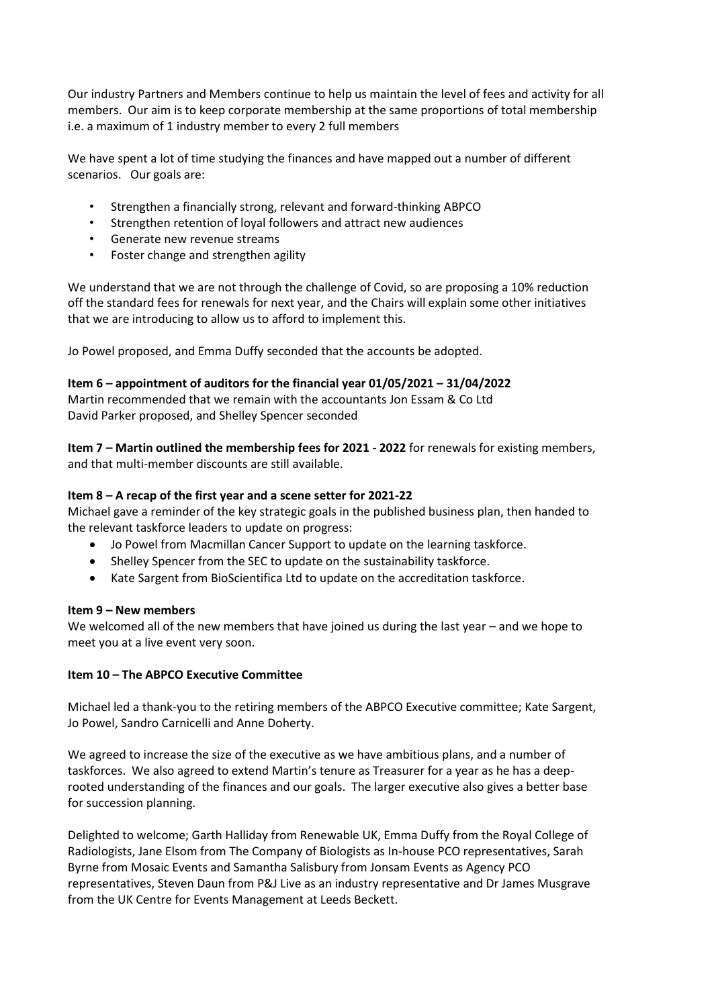Our industry Partners and Members continue to help us maintain the level of fees and activity for all members. Our aim is to keep corporate membership at the same proportions of total membership i.e. a maximum of 1 industry member to every 2 full members

We have spent a lot of time studying the finances and have mapped out a number of different scenarios. Our goals are:

- Strengthen a financially strong, relevant and forward-thinking ABPCO
- Strengthen retention of loyal followers and attract new audiences
- Generate new revenue streams
- Foster change and strengthen agility

We understand that we are not through the challenge of Covid, so are proposing a 10% reduction off the standard fees for renewals for next year, and the Chairs will explain some other initiatives that we are introducing to allow us to afford to implement this.

Jo Powel proposed, and Emma Duffy seconded that the accounts be adopted.

### **Item 6 – appointment of auditors for the financial year 01/05/2021 – 31/04/2022**

Martin recommended that we remain with the accountants Jon Essam & Co Ltd David Parker proposed, and Shelley Spencer seconded

**Item 7 – Martin outlined the membership fees for 2021 - 2022** for renewals for existing members, and that multi-member discounts are still available.

## **Item 8 – A recap of the first year and a scene setter for 2021-22**

Michael gave a reminder of the key strategic goals in the published business plan, then handed to the relevant taskforce leaders to update on progress:

- Jo Powel from Macmillan Cancer Support to update on the learning taskforce.
- Shelley Spencer from the SEC to update on the sustainability taskforce.
- Kate Sargent from BioScientifica Ltd to update on the accreditation taskforce.

### **Item 9 – New members**

We welcomed all of the new members that have joined us during the last year – and we hope to meet you at a live event very soon.

### **Item 10 – The ABPCO Executive Committee**

Michael led a thank-you to the retiring members of the ABPCO Executive committee; Kate Sargent, Jo Powel, Sandro Carnicelli and Anne Doherty.

We agreed to increase the size of the executive as we have ambitious plans, and a number of taskforces. We also agreed to extend Martin's tenure as Treasurer for a year as he has a deeprooted understanding of the finances and our goals. The larger executive also gives a better base for succession planning.

Delighted to welcome; Garth Halliday from Renewable UK, Emma Duffy from the Royal College of Radiologists, Jane Elsom from The Company of Biologists as In-house PCO representatives, Sarah Byrne from Mosaic Events and Samantha Salisbury from Jonsam Events as Agency PCO representatives, Steven Daun from P&J Live as an industry representative and Dr James Musgrave from the UK Centre for Events Management at Leeds Beckett.